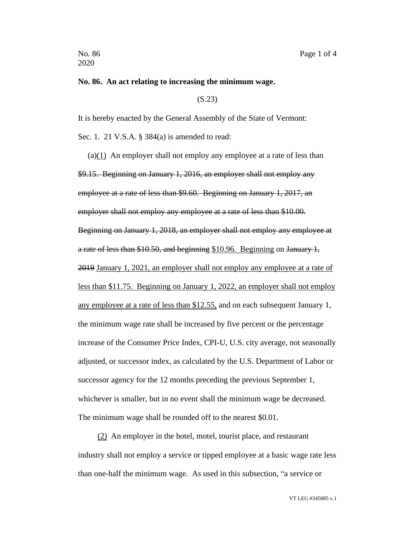## **No. 86. An act relating to increasing the minimum wage.**

(S.23)

It is hereby enacted by the General Assembly of the State of Vermont: Sec. 1. 21 V.S.A. § 384(a) is amended to read:

(a) $(1)$  An employer shall not employ any employee at a rate of less than \$9.15. Beginning on January 1, 2016, an employer shall not employ any employee at a rate of less than \$9.60. Beginning on January 1, 2017, an employer shall not employ any employee at a rate of less than \$10.00. Beginning on January 1, 2018, an employer shall not employ any employee at a rate of less than \$10.50, and beginning \$10.96. Beginning on January 1, 2019 January 1, 2021, an employer shall not employ any employee at a rate of less than \$11.75. Beginning on January 1, 2022, an employer shall not employ any employee at a rate of less than \$12.55, and on each subsequent January 1, the minimum wage rate shall be increased by five percent or the percentage increase of the Consumer Price Index, CPI-U, U.S. city average, not seasonally adjusted, or successor index, as calculated by the U.S. Department of Labor or successor agency for the 12 months preceding the previous September 1, whichever is smaller, but in no event shall the minimum wage be decreased. The minimum wage shall be rounded off to the nearest \$0.01.

(2) An employer in the hotel, motel, tourist place, and restaurant industry shall not employ a service or tipped employee at a basic wage rate less than one-half the minimum wage. As used in this subsection, "a service or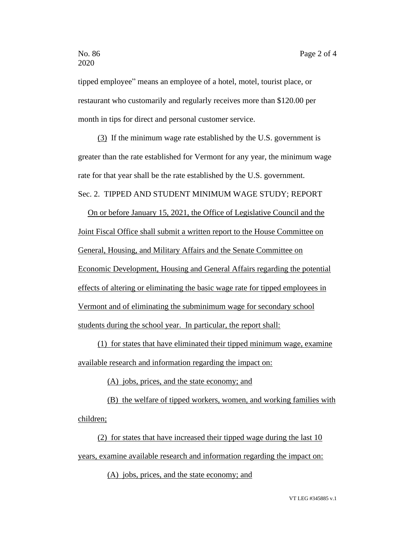tipped employee" means an employee of a hotel, motel, tourist place, or restaurant who customarily and regularly receives more than \$120.00 per month in tips for direct and personal customer service.

(3) If the minimum wage rate established by the U.S. government is greater than the rate established for Vermont for any year, the minimum wage rate for that year shall be the rate established by the U.S. government.

## Sec. 2. TIPPED AND STUDENT MINIMUM WAGE STUDY; REPORT

On or before January 15, 2021, the Office of Legislative Council and the Joint Fiscal Office shall submit a written report to the House Committee on General, Housing, and Military Affairs and the Senate Committee on Economic Development, Housing and General Affairs regarding the potential effects of altering or eliminating the basic wage rate for tipped employees in Vermont and of eliminating the subminimum wage for secondary school students during the school year. In particular, the report shall:

(1) for states that have eliminated their tipped minimum wage, examine available research and information regarding the impact on:

(A) jobs, prices, and the state economy; and

(B) the welfare of tipped workers, women, and working families with children;

(2) for states that have increased their tipped wage during the last 10 years, examine available research and information regarding the impact on:

(A) jobs, prices, and the state economy; and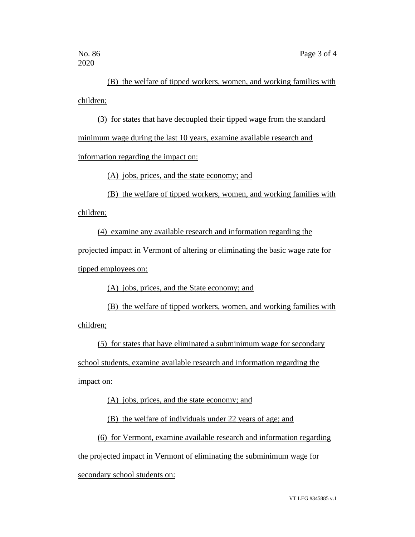(B) the welfare of tipped workers, women, and working families with children;

(3) for states that have decoupled their tipped wage from the standard minimum wage during the last 10 years, examine available research and information regarding the impact on:

(A) jobs, prices, and the state economy; and

(B) the welfare of tipped workers, women, and working families with

children;

(4) examine any available research and information regarding the projected impact in Vermont of altering or eliminating the basic wage rate for tipped employees on:

(A) jobs, prices, and the State economy; and

(B) the welfare of tipped workers, women, and working families with children;

(5) for states that have eliminated a subminimum wage for secondary school students, examine available research and information regarding the impact on:

(A) jobs, prices, and the state economy; and

(B) the welfare of individuals under 22 years of age; and

(6) for Vermont, examine available research and information regarding

the projected impact in Vermont of eliminating the subminimum wage for

secondary school students on: